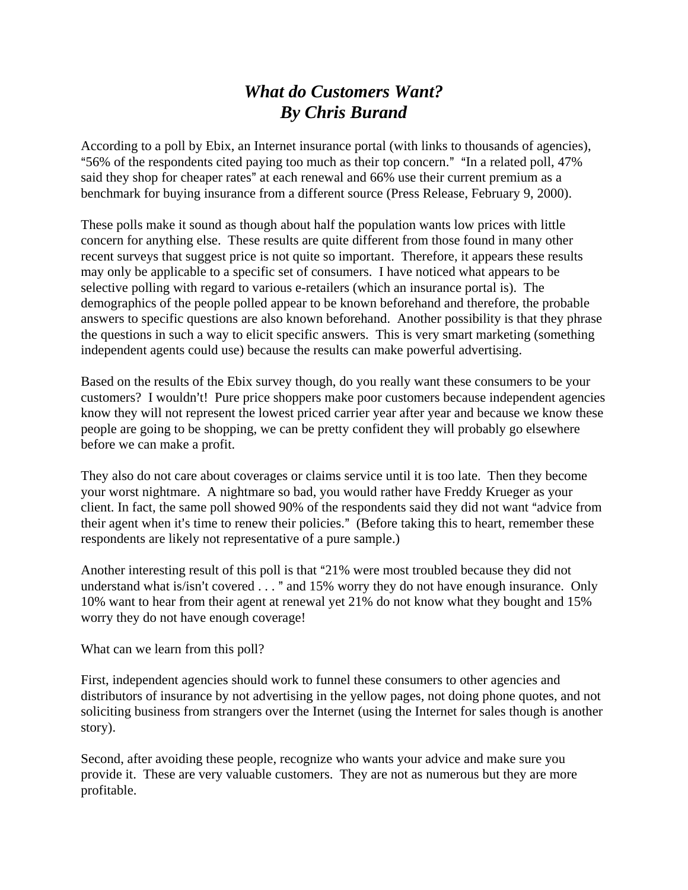## *What do Customers Want? By Chris Burand*

According to a poll by Ebix, an Internet insurance portal (with links to thousands of agencies), "56% of the respondents cited paying too much as their top concern." "In a related poll,  $47\%$ said they shop for cheaper rates" at each renewal and 66% use their current premium as a benchmark for buying insurance from a different source (Press Release, February 9, 2000).

These polls make it sound as though about half the population wants low prices with little concern for anything else. These results are quite different from those found in many other recent surveys that suggest price is not quite so important. Therefore, it appears these results may only be applicable to a specific set of consumers. I have noticed what appears to be selective polling with regard to various e-retailers (which an insurance portal is). The demographics of the people polled appear to be known beforehand and therefore, the probable answers to specific questions are also known beforehand. Another possibility is that they phrase the questions in such a way to elicit specific answers. This is very smart marketing (something independent agents could use) because the results can make powerful advertising.

Based on the results of the Ebix survey though, do you really want these consumers to be your customers? I wouldn't! Pure price shoppers make poor customers because independent agencies know they will not represent the lowest priced carrier year after year and because we know these people are going to be shopping, we can be pretty confident they will probably go elsewhere before we can make a profit.

They also do not care about coverages or claims service until it is too late. Then they become your worst nightmare. A nightmare so bad, you would rather have Freddy Krueger as your client. In fact, the same poll showed 90% of the respondents said they did not want "advice from their agent when it's time to renew their policies." (Before taking this to heart, remember these respondents are likely not representative of a pure sample.)

Another interesting result of this poll is that "21% were most troubled because they did not understand what is/isn't covered  $\dots$  " and 15% worry they do not have enough insurance. Only 10% want to hear from their agent at renewal yet 21% do not know what they bought and 15% worry they do not have enough coverage!

What can we learn from this poll?

First, independent agencies should work to funnel these consumers to other agencies and distributors of insurance by not advertising in the yellow pages, not doing phone quotes, and not soliciting business from strangers over the Internet (using the Internet for sales though is another story).

Second, after avoiding these people, recognize who wants your advice and make sure you provide it. These are very valuable customers. They are not as numerous but they are more profitable.